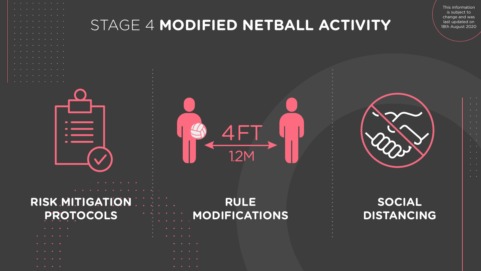# STAGE 4 **MODIFIED NETBALL ACTIVITY**

| $\bullet$ | $\bullet$ | $\bullet$                               | $\bullet$              | $\bullet$                     | $\bullet$            | $\bullet$ | $\bullet$ | $\bullet$ |
|-----------|-----------|-----------------------------------------|------------------------|-------------------------------|----------------------|-----------|-----------|-----------|
| $\bullet$ | $\bullet$ | $\bullet$                               | $\bullet$              | $\bullet$                     | $\bullet$            | $\bullet$ | $\bullet$ | $\bullet$ |
| $\bullet$ | $\bullet$ | $\bullet$                               | $\bullet$              | $\bullet$                     | $\bullet$            | $\bullet$ | $\bullet$ | $\bullet$ |
| $\bullet$ | $\bullet$ | $\bullet$                               | $\bullet$              | $\bullet$                     | $\bullet$            | $\bullet$ | $\bullet$ | $\bullet$ |
| $\bullet$ | $\bullet$ | $\bullet$                               | $\bullet$              | $\bullet$                     | $\bullet$            | $\bullet$ | $\bullet$ | $\bullet$ |
| $\bullet$ | $\bullet$ | $\bullet$                               | $\bullet$              | $\bullet$                     | $\bullet$            | $\bullet$ | $\bullet$ | $\bullet$ |
| $\bullet$ | $\bullet$ | $\bullet$                               | $\bullet$              | $\bullet$                     | $\bullet$            | $\bullet$ | $\bullet$ | $\bullet$ |
| $\bullet$ | $\bullet$ | $\bullet$                               | $\bullet$              | $\bullet$                     | $\bullet$            | $\bullet$ | $\bullet$ | $\bullet$ |
| $\bullet$ | $\bullet$ | $\bullet$                               | $\bullet$              | $\bullet$                     | $\bullet$            | $\bullet$ | $\bullet$ | $\bullet$ |
| $\bullet$ | $\bullet$ | $\bullet$                               | $\bullet$              | $\bullet$                     | $\bullet$            | $\bullet$ | $\bullet$ | $\bullet$ |
| $\bullet$ | $\bullet$ | $\bullet$                               | $\bullet$              | $\bullet$                     | $\bullet$            | $\bullet$ | $\bullet$ | $\bullet$ |
| $\bullet$ | $\bullet$ | $\bullet$                               | $\bullet$              | $\bullet$                     | $\bullet$            | $\bullet$ | $\bullet$ | $\bullet$ |
| ÷.        |           | a a contra a contra della contra di una | <b>Allen Contracts</b> | $\mathbf{r}$ and $\mathbf{r}$ | <b>Allen Control</b> | ×         |           |           |



### **RISK MITIGATION PROTOCOLS**

- -
- 
- 
- 
- 
- 

**12M** 

### **RULE MODIFICATIONS**



### **SOCIAL DISTANCING**



 $\bullet$   $\bullet$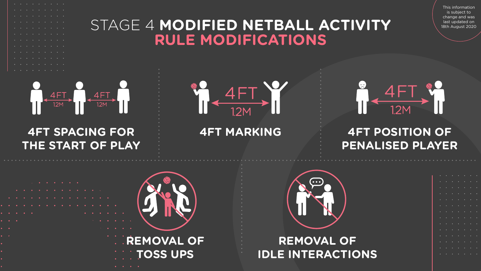# STAGE 4 **MODIFIED NETBALL ACTIVITY RULE MODIFICATIONS**



#### **4FT SPACING FOR THE START OF PLAY**

 $\bullet$   $\bullet$ 

 $\bullet \qquad \bullet$ 

 $\bullet$   $\bullet$ 



# **4FT MARKING 4FT POSITION OF PENALISED PLAYER**



**REMOVAL OF TOSS UPS**

#### **REMOVAL OF IDLE INTERACTIONS**



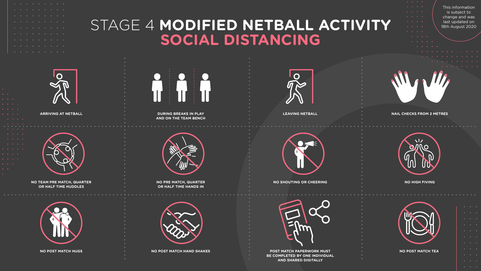## STAGE 4 **MODIFIED NETBALL ACTIVITY SOCIAL DISTANCING**



 $\begin{array}{cccccccccccccc} \bullet & \bullet & \bullet & \bullet & \bullet & \bullet & \bullet & \bullet \end{array}$ 



**NO POST MATCH HUGS NO POST MATCH HAND SHAKES POST MATCH PAPERWORK MUST BE COMPLETED BY ONE INDIVIDUAL AND SHARED DIGITALLY** 

 $\bullet \qquad \bullet \qquad \bullet$ 

**NO POST MATCH TEA**s

**NO TEAM PRE MATCH, QUARTER OR HALF TIME HUDDLES**



 $\left\| \cdot \right\|$ 

> **NO PRE MATCH, QUARTER OR HALF TIME HANDS IN**







**NO SHOUTING OR CHEERING NO HIGH FIVING**



**ARRIVING AT NETBALL DURING BREAKS IN PLAY AND ON THE TEAM BENCH**



**LEAVING NETBALL NAIL CHECKS FROM 2 METRES**







| $\begin{array}{cccccccccccccc} \bullet & \circ & \circ & \circ & \bullet & \bullet & \bullet & \bullet & \bullet \end{array}$       |  |
|-------------------------------------------------------------------------------------------------------------------------------------|--|
| $\begin{array}{cccccccccccccc} \bullet & \bullet & \bullet & \bullet & \bullet & \bullet & \bullet & \bullet & \bullet \end{array}$ |  |
| $\begin{array}{cccccccccccccc} \bullet & \bullet & \bullet & \bullet & \bullet & \bullet & \bullet & \bullet & \bullet \end{array}$ |  |
| $\begin{array}{cccccccccccccc} \bullet & \bullet & \bullet & \bullet & \bullet & \bullet & \bullet & \bullet & \bullet \end{array}$ |  |